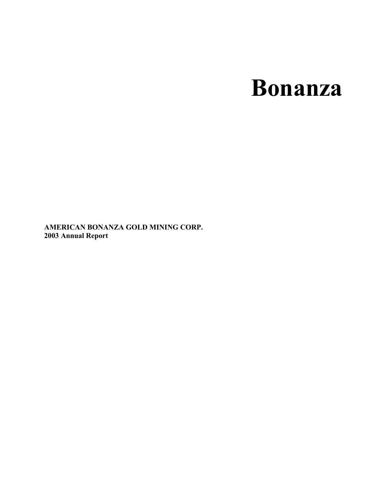# **Bonanza**

**AMERICAN BONANZA GOLD MINING CORP. 2003 Annual Report**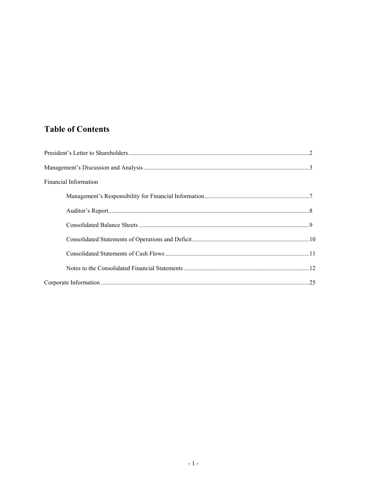## **Table of Contents**

| <b>Financial Information</b> |  |
|------------------------------|--|
|                              |  |
|                              |  |
|                              |  |
|                              |  |
|                              |  |
|                              |  |
|                              |  |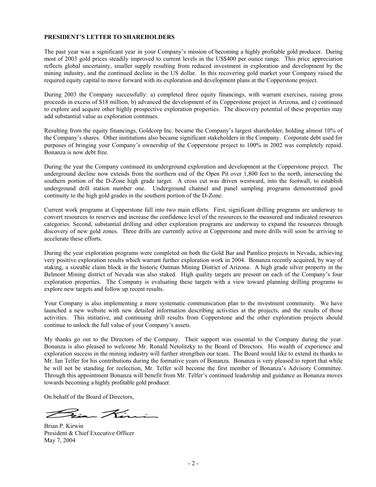#### **PRESIDENT'S LETTER TO SHAREHOLDERS**

The past year was a significant year in your Company's mission of becoming a highly profitable gold producer. During most of 2003 gold prices steadily improved to current levels in the US\$400 per ounce range. This price appreciation reflects global uncertainty, smaller supply resulting from reduced investment in exploration and development by the mining industry, and the continued decline in the US dollar. In this recovering gold market your Company raised the required equity capital to move forward with its exploration and development plans at the Copperstone project.

During 2003 the Company successfully: a) completed three equity financings, with warrant exercises, raising gross proceeds in excess of \$18 million, b) advanced the development of its Copperstone project in Arizona, and c) continued to explore and acquire other highly prospective exploration properties. The discovery potential of these properties may add substantial value as exploration continues.

Resulting from the equity financings, Goldcorp Inc. became the Company's largest shareholder, holding almost 10% of the Company's shares. Other institutions also became significant stakeholders in the Company. Corporate debt used for purposes of bringing your Company's ownership of the Copperstone project to 100% in 2002 was completely repaid. Bonanza is now debt free.

During the year the Company continued its underground exploration and development at the Copperstone project. The underground decline now extends from the northern end of the Open Pit over 1,800 feet to the north, intersecting the southern portion of the D-Zone high grade target. A cross cut was driven westward, into the footwall, to establish underground drill station number one. Underground channel and panel sampling programs demonstrated good continuity to the high gold grades in the southern portion of the D-Zone.

Current work programs at Copperstone fall into two main efforts. First, significant drilling programs are underway to convert resources to reserves and increase the confidence level of the resources to the measured and indicated resources categories. Second, substantial drilling and other exploration programs are underway to expand the resources through discovery of new gold zones. Three drills are currently active at Copperstone and more drills will soon be arriving to accelerate these efforts.

During the year exploration programs were completed on both the Gold Bar and Pamlico projects in Nevada, achieving very positive exploration results which warrant further exploration work in 2004. Bonanza recently acquired, by way of staking, a sizeable claim block in the historic Oatman Mining District of Arizona. A high grade silver property in the Belmont Mining district of Nevada was also staked. High quality targets are present on each of the Company's four exploration properties. The Company is evaluating these targets with a view toward planning drilling programs to explore new targets and follow up recent results.

Your Company is also implementing a more systematic communication plan to the investment community. We have launched a new website with new detailed information describing activities at the projects, and the results of those activities. This initiative, and continuing drill results from Copperstone and the other exploration projects should continue to unlock the full value of your Company's assets.

My thanks go out to the Directors of the Company. Their support was essential to the Company during the year. Bonanza is also pleased to welcome Mr. Ronald Netolitzky to the Board of Directors. His wealth of experience and exploration success in the mining industry will further strengthen our team. The Board would like to extend its thanks to Mr. Ian Telfer for his contributions during the formative years of Bonanza. Bonanza is very pleased to report that while he will not be standing for reelection, Mr. Telfer will become the first member of Bonanza's Advisory Committee. Through this appointment Bonanza will benefit from Mr. Telfer's continued leadership and guidance as Bonanza moves towards becoming a highly profitable gold producer.

On behalf of the Board of Directors,

 $\mathcal{F}$   $\mathcal{A}'$ 

Brian P. Kirwin President & Chief Executive Officer May 7, 2004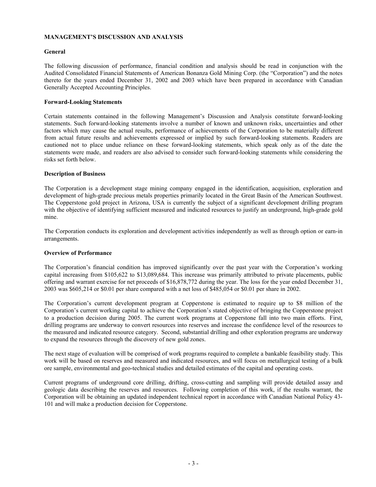#### **MANAGEMENT'S DISCUSSION AND ANALYSIS**

#### **General**

The following discussion of performance, financial condition and analysis should be read in conjunction with the Audited Consolidated Financial Statements of American Bonanza Gold Mining Corp. (the "Corporation") and the notes thereto for the years ended December 31, 2002 and 2003 which have been prepared in accordance with Canadian Generally Accepted Accounting Principles.

#### **Forward-Looking Statements**

Certain statements contained in the following Management's Discussion and Analysis constitute forward-looking statements. Such forward-looking statements involve a number of known and unknown risks, uncertainties and other factors which may cause the actual results, performance of achievements of the Corporation to be materially different from actual future results and achievements expressed or implied by such forward-looking statements. Readers are cautioned not to place undue reliance on these forward-looking statements, which speak only as of the date the statements were made, and readers are also advised to consider such forward-looking statements while considering the risks set forth below.

#### **Description of Business**

The Corporation is a development stage mining company engaged in the identification, acquisition, exploration and development of high-grade precious metals properties primarily located in the Great Basin of the American Southwest. The Copperstone gold project in Arizona, USA is currently the subject of a significant development drilling program with the objective of identifying sufficient measured and indicated resources to justify an underground, high-grade gold mine.

The Corporation conducts its exploration and development activities independently as well as through option or earn-in arrangements.

#### **Overview of Performance**

The Corporation's financial condition has improved significantly over the past year with the Corporation's working capital increasing from \$105,622 to \$13,089,684. This increase was primarily attributed to private placements, public offering and warrant exercise for net proceeds of \$16,878,772 during the year. The loss for the year ended December 31, 2003 was \$605,214 or \$0.01 per share compared with a net loss of \$485,054 or \$0.01 per share in 2002.

The Corporation's current development program at Copperstone is estimated to require up to \$8 million of the Corporation's current working capital to achieve the Corporation's stated objective of bringing the Copperstone project to a production decision during 2005. The current work programs at Copperstone fall into two main efforts. First, drilling programs are underway to convert resources into reserves and increase the confidence level of the resources to the measured and indicated resource category. Second, substantial drilling and other exploration programs are underway to expand the resources through the discovery of new gold zones.

The next stage of evaluation will be comprised of work programs required to complete a bankable feasibility study. This work will be based on reserves and measured and indicated resources, and will focus on metallurgical testing of a bulk ore sample, environmental and geo-technical studies and detailed estimates of the capital and operating costs.

Current programs of underground core drilling, drifting, cross-cutting and sampling will provide detailed assay and geologic data describing the reserves and resources. Following completion of this work, if the results warrant, the Corporation will be obtaining an updated independent technical report in accordance with Canadian National Policy 43- 101 and will make a production decision for Copperstone.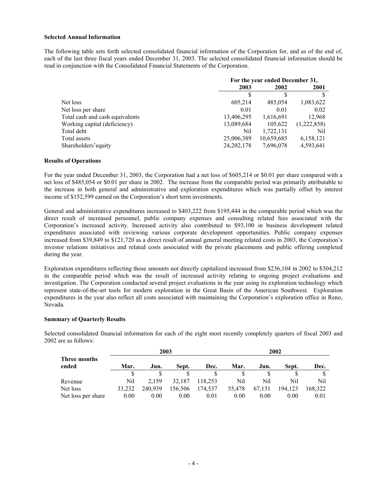#### **Selected Annual Information**

The following table sets forth selected consolidated financial information of the Corporation for, and as of the end of, each of the last three fiscal years ended December 31, 2003. The selected consolidated financial information should be read in conjunction with the Consolidated Financial Statements of the Corporation.

|                                 | For the year ended December 31, |            |             |
|---------------------------------|---------------------------------|------------|-------------|
|                                 | 2003<br>2002<br>2001            |            |             |
|                                 |                                 |            |             |
| Net loss                        | 605,214                         | 485,054    | 1,083,622   |
| Net loss per share              | 0.01                            | 0.01       | 0.02        |
| Total cash and cash equivalents | 13,406,295                      | 1,616,691  | 12,968      |
| Working capital (deficiency)    | 13,089,684                      | 105,622    | (1,222,858) |
| Total debt                      | Nil                             | 1,722,131  | Nil         |
| Total assets                    | 25,006,389                      | 10,659,685 | 6,158,121   |
| Shareholders' equity            | 24, 202, 178                    | 7,696,078  | 4,593,641   |

#### **Results of Operations**

For the year ended December 31, 2003, the Corporation had a net loss of \$605,214 or \$0.01 per share compared with a net loss of \$485,054 or \$0.01 per share in 2002. The increase from the comparable period was primarily attributable to the increase in both general and administrative and exploration expenditures which was partially offset by interest income of \$152,599 earned on the Corporation's short term investments.

General and administrative expenditures increased to \$403,222 from \$195,444 in the comparable period which was the direct result of increased personnel, public company expenses and consulting related fees associated with the Corporation's increased activity. Increased activity also contributed to \$93,100 in business development related expenditures associated with reviewing various corporate development opportunities. Public company expenses increased from \$39,849 to \$121,720 as a direct result of annual general meeting related costs in 2003, the Corporation's investor relations initiatives and related costs associated with the private placements and public offering completed during the year.

Exploration expenditures reflecting those amounts not directly capitalized increased from \$236,104 in 2002 to \$304,212 in the comparable period which was the result of increased activity relating to ongoing project evaluations and investigation. The Corporation conducted several project evaluations in the year using its exploration technology which represent state-of-the-art tools for modern exploration in the Great Basin of the American Southwest. Exploration expenditures in the year also reflect all costs associated with maintaining the Corporation's exploration office in Reno, Nevada.

#### **Summary of Quarterly Results**

Selected consolidated financial information for each of the eight most recently completely quarters of fiscal 2003 and 2002 are as follows:

|                       |        |         | 2003    |         |        |        | 2002    |         |
|-----------------------|--------|---------|---------|---------|--------|--------|---------|---------|
| Three months<br>ended | Mar.   | Jun.    | Sept.   | Dec.    | Mar.   | Jun.   | Sept.   | Dec.    |
|                       |        |         |         |         |        |        |         |         |
| Revenue               | Nil    | 2.159   | 32.187  | 118.253 | Nil    | Nil    | Nil     | Nil     |
| Net loss              | 33.232 | 240.939 | 156,506 | 174,537 | 55,478 | 67,131 | 194,123 | 168,322 |
| Net loss per share    | 0.00   | 0.00    | 0.00    | 0.01    | 0.00   | 0.00   | 0.00    | 0.01    |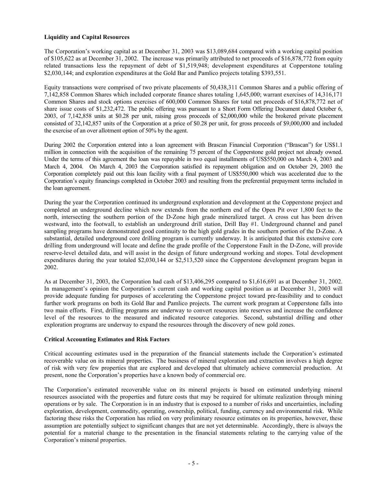#### **Liquidity and Capital Resources**

The Corporation's working capital as at December 31, 2003 was \$13,089,684 compared with a working capital position of \$105,622 as at December 31, 2002. The increase was primarily attributed to net proceeds of \$16,878,772 from equity related transactions less the repayment of debt of \$1,519,948; development expenditures at Copperstone totaling \$2,030,144; and exploration expenditures at the Gold Bar and Pamlico projects totaling \$393,551.

Equity transactions were comprised of two private placements of 50,438,311 Common Shares and a public offering of 7,142,858 Common Shares which included corporate finance shares totaling 1,645,000; warrant exercises of 14,316,171 Common Shares and stock options exercises of 600,000 Common Shares for total net proceeds of \$16,878,772 net of share issue costs of \$1,232,472. The public offering was pursuant to a Short Form Offering Document dated October 6, 2003, of 7,142,858 units at \$0.28 per unit, raising gross proceeds of \$2,000,000 while the brokered private placement consisted of 32,142,857 units of the Corporation at a price of \$0.28 per unit, for gross proceeds of \$9,000,000 and included the exercise of an over allotment option of 50% by the agent.

During 2002 the Corporation entered into a loan agreement with Brascan Financial Corporation ("Brascan") for US\$1.1 million in connection with the acquisition of the remaining 75 percent of the Copperstone gold project not already owned. Under the terms of this agreement the loan was repayable in two equal installments of US\$550,000 on March 4, 2003 and March 4, 2004. On March 4, 2003 the Corporation satisfied its repayment obligation and on October 29, 2003 the Corporation completely paid out this loan facility with a final payment of US\$550,000 which was accelerated due to the Corporation's equity financings completed in October 2003 and resulting from the preferential prepayment terms included in the loan agreement.

During the year the Corporation continued its underground exploration and development at the Copperstone project and completed an underground decline which now extends from the northern end of the Open Pit over 1,800 feet to the north, intersecting the southern portion of the D-Zone high grade mineralized target. A cross cut has been driven westward, into the footwall, to establish an underground drill station, Drill Bay #1. Underground channel and panel sampling programs have demonstrated good continuity to the high gold grades in the southern portion of the D-Zone. A substantial, detailed underground core drilling program is currently underway. It is anticipated that this extensive core drilling from underground will locate and define the grade profile of the Copperstone Fault in the D-Zone, will provide reserve-level detailed data, and will assist in the design of future underground working and stopes. Total development expenditures during the year totaled \$2,030,144 or \$2,513,520 since the Copperstone development program began in 2002.

As at December 31, 2003, the Corporation had cash of \$13,406,295 compared to \$1,616,691 as at December 31, 2002. In management's opinion the Corporation's current cash and working capital position as at December 31, 2003 will provide adequate funding for purposes of accelerating the Copperstone project toward pre-feasibility and to conduct further work programs on both its Gold Bar and Pamlico projects. The current work program at Copperstone falls into two main efforts. First, drilling programs are underway to convert resources into reserves and increase the confidence level of the resources to the measured and indicated resource categories. Second, substantial drilling and other exploration programs are underway to expand the resources through the discovery of new gold zones.

#### **Critical Accounting Estimates and Risk Factors**

Critical accounting estimates used in the preparation of the financial statements include the Corporation's estimated recoverable value on its mineral properties. The business of mineral exploration and extraction involves a high degree of risk with very few properties that are explored and developed that ultimately achieve commercial production. At present, none the Corporation's properties have a known body of commercial ore.

The Corporation's estimated recoverable value on its mineral projects is based on estimated underlying mineral resources associated with the properties and future costs that may be required for ultimate realization through mining operations or by sale. The Corporation is in an industry that is exposed to a number of risks and uncertainties, including exploration, development, commodity, operating, ownership, political, funding, currency and environmental risk. While factoring these risks the Corporation has relied on very preliminary resource estimates on its properties, however, these assumption are potentially subject to significant changes that are not yet determinable. Accordingly, there is always the potential for a material change to the presentation in the financial statements relating to the carrying value of the Corporation's mineral properties.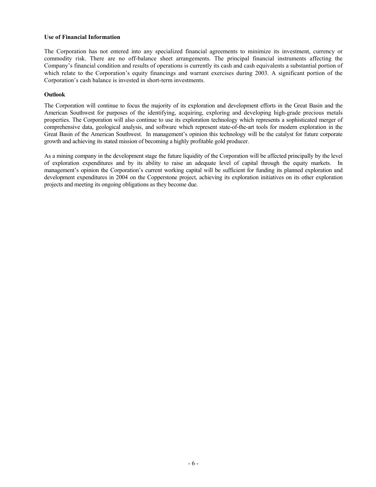#### **Use of Financial Information**

The Corporation has not entered into any specialized financial agreements to minimize its investment, currency or commodity risk. There are no off-balance sheet arrangements. The principal financial instruments affecting the Company's financial condition and results of operations is currently its cash and cash equivalents a substantial portion of which relate to the Corporation's equity financings and warrant exercises during 2003. A significant portion of the Corporation's cash balance is invested in short-term investments.

#### **Outlook**

The Corporation will continue to focus the majority of its exploration and development efforts in the Great Basin and the American Southwest for purposes of the identifying, acquiring, exploring and developing high-grade precious metals properties. The Corporation will also continue to use its exploration technology which represents a sophisticated merger of comprehensive data, geological analysis, and software which represent state-of-the-art tools for modern exploration in the Great Basin of the American Southwest. In management's opinion this technology will be the catalyst for future corporate growth and achieving its stated mission of becoming a highly profitable gold producer.

As a mining company in the development stage the future liquidity of the Corporation will be affected principally by the level of exploration expenditures and by its ability to raise an adequate level of capital through the equity markets. In management's opinion the Corporation's current working capital will be sufficient for funding its planned exploration and development expenditures in 2004 on the Copperstone project, achieving its exploration initiatives on its other exploration projects and meeting its ongoing obligations as they become due.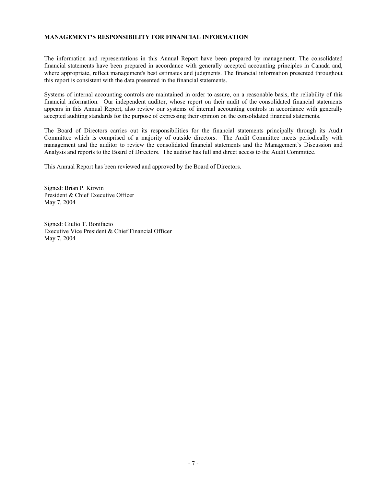#### **MANAGEMENT'S RESPONSIBILITY FOR FINANCIAL INFORMATION**

The information and representations in this Annual Report have been prepared by management. The consolidated financial statements have been prepared in accordance with generally accepted accounting principles in Canada and, where appropriate, reflect management's best estimates and judgments. The financial information presented throughout this report is consistent with the data presented in the financial statements.

Systems of internal accounting controls are maintained in order to assure, on a reasonable basis, the reliability of this financial information. Our independent auditor, whose report on their audit of the consolidated financial statements appears in this Annual Report, also review our systems of internal accounting controls in accordance with generally accepted auditing standards for the purpose of expressing their opinion on the consolidated financial statements.

The Board of Directors carries out its responsibilities for the financial statements principally through its Audit Committee which is comprised of a majority of outside directors. The Audit Committee meets periodically with management and the auditor to review the consolidated financial statements and the Management's Discussion and Analysis and reports to the Board of Directors. The auditor has full and direct access to the Audit Committee.

This Annual Report has been reviewed and approved by the Board of Directors.

Signed: Brian P. Kirwin President & Chief Executive Officer May 7, 2004

Signed: Giulio T. Bonifacio Executive Vice President & Chief Financial Officer May 7, 2004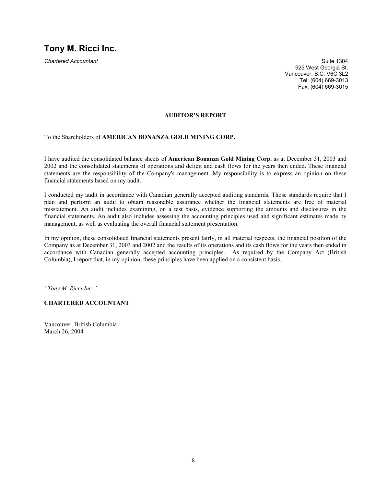**Chartered Accountant Suite 1304** Suite 1304 925 West Georgia St. Vancouver, B.C. V6C 3L2 Tel: (604) 669-3013 Fax: (604) 669-3015

#### **AUDITOR'S REPORT**

To the Shareholders of **AMERICAN BONANZA GOLD MINING CORP.**

I have audited the consolidated balance sheets of **American Bonanza Gold Mining Corp.** as at December 31, 2003 and 2002 and the consolidated statements of operations and deficit and cash flows for the years then ended. These financial statements are the responsibility of the Company's management. My responsibility is to express an opinion on these financial statements based on my audit.

I conducted my audit in accordance with Canadian generally accepted auditing standards. Those standards require that I plan and perform an audit to obtain reasonable assurance whether the financial statements are free of material misstatement. An audit includes examining, on a test basis, evidence supporting the amounts and disclosures in the financial statements. An audit also includes assessing the accounting principles used and significant estimates made by management, as well as evaluating the overall financial statement presentation.

In my opinion, these consolidated financial statements present fairly, in all material respects, the financial position of the Company as at December 31, 2003 and 2002 and the results of its operations and its cash flows for the years then ended in accordance with Canadian generally accepted accounting principles. As required by the Company Act (British Columbia), I report that, in my opinion, these principles have been applied on a consistent basis.

*"Tony M. Ricci Inc."* 

#### **CHARTERED ACCOUNTANT**

Vancouver, British Columbia March 26, 2004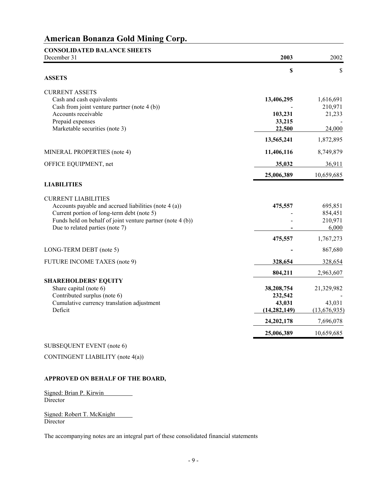| <b>CONSOLIDATED BALANCE SHEETS</b><br>December 31                                                        | 2003              | 2002                 |
|----------------------------------------------------------------------------------------------------------|-------------------|----------------------|
|                                                                                                          | \$                | \$                   |
| <b>ASSETS</b>                                                                                            |                   |                      |
| <b>CURRENT ASSETS</b>                                                                                    |                   |                      |
| Cash and cash equivalents<br>Cash from joint venture partner (note 4 (b))                                | 13,406,295        | 1,616,691<br>210,971 |
| Accounts receivable                                                                                      | 103,231           | 21,233               |
| Prepaid expenses                                                                                         | 33,215            |                      |
| Marketable securities (note 3)                                                                           | 22,500            | 24,000               |
|                                                                                                          | 13,565,241        | 1,872,895            |
| MINERAL PROPERTIES (note 4)                                                                              | 11,406,116        | 8,749,879            |
| OFFICE EQUIPMENT, net                                                                                    | 35,032            | 36,911               |
|                                                                                                          | 25,006,389        | 10,659,685           |
| <b>LIABILITIES</b>                                                                                       |                   |                      |
| <b>CURRENT LIABILITIES</b>                                                                               |                   |                      |
| Accounts payable and accrued liabilities (note 4 (a))                                                    | 475,557           | 695,851              |
| Current portion of long-term debt (note 5)<br>Funds held on behalf of joint venture partner (note 4 (b)) |                   | 854,451<br>210,971   |
| Due to related parties (note 7)                                                                          |                   | 6,000                |
|                                                                                                          | 475,557           | 1,767,273            |
| LONG-TERM DEBT (note 5)                                                                                  |                   | 867,680              |
| FUTURE INCOME TAXES (note 9)                                                                             | 328,654           | 328,654              |
|                                                                                                          | 804,211           | 2,963,607            |
| <b>SHAREHOLDERS' EQUITY</b>                                                                              |                   |                      |
| Share capital (note 6)                                                                                   | 38,208,754        | 21,329,982           |
| Contributed surplus (note 6)<br>Cumulative currency translation adjustment                               | 232,542<br>43,031 | 43,031               |
| Deficit                                                                                                  | (14, 282, 149)    | (13,676,935)         |
|                                                                                                          | 24, 202, 178      | 7,696,078            |
|                                                                                                          | 25,006,389        | 10,659,685           |

#### SUBSEQUENT EVENT (note 6)

CONTINGENT LIABILITY (note 4(a))

#### **APPROVED ON BEHALF OF THE BOARD,**

Signed: Brian P. Kirwin Director

Signed: Robert T. McKnight Director

The accompanying notes are an integral part of these consolidated financial statements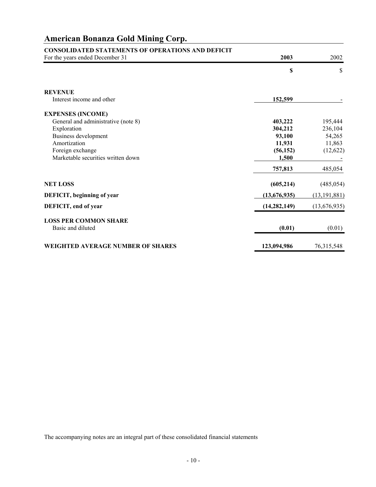| <b>CONSOLIDATED STATEMENTS OF OPERATIONS AND DEFICIT</b> |                |                |
|----------------------------------------------------------|----------------|----------------|
| For the years ended December 31                          | 2003           | 2002           |
|                                                          | \$             | \$             |
| <b>REVENUE</b>                                           |                |                |
| Interest income and other                                | 152,599        |                |
| <b>EXPENSES (INCOME)</b>                                 |                |                |
| General and administrative (note 8)                      | 403,222        | 195,444        |
| Exploration                                              | 304,212        | 236,104        |
| Business development                                     | 93,100         | 54,265         |
| Amortization                                             | 11,931         | 11,863         |
| Foreign exchange                                         | (56, 152)      | (12,622)       |
| Marketable securities written down                       | 1,500          |                |
|                                                          | 757,813        | 485,054        |
| <b>NET LOSS</b>                                          | (605, 214)     | (485, 054)     |
| DEFICIT, beginning of year                               | (13,676,935)   | (13, 191, 881) |
| DEFICIT, end of year                                     | (14, 282, 149) | (13,676,935)   |
| <b>LOSS PER COMMON SHARE</b>                             |                |                |
| Basic and diluted                                        | (0.01)         | (0.01)         |
| <b>WEIGHTED AVERAGE NUMBER OF SHARES</b>                 | 123,094,986    | 76, 315, 548   |

The accompanying notes are an integral part of these consolidated financial statements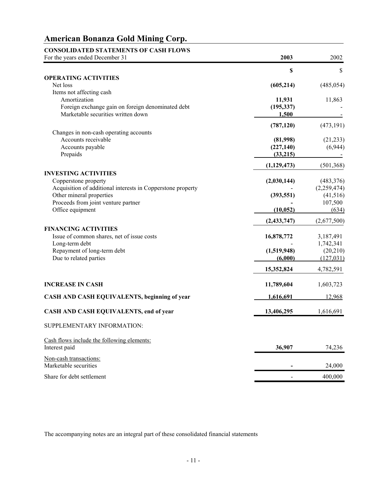| <b>CONSOLIDATED STATEMENTS OF CASH FLOWS</b><br>For the years ended December 31 | 2003          | 2002        |
|---------------------------------------------------------------------------------|---------------|-------------|
|                                                                                 | \$            | $\$$        |
| <b>OPERATING ACTIVITIES</b><br>Net loss                                         | (605, 214)    | (485, 054)  |
| Items not affecting cash                                                        |               |             |
| Amortization                                                                    | 11,931        | 11,863      |
| Foreign exchange gain on foreign denominated debt                               | (195, 337)    |             |
| Marketable securities written down                                              | 1,500         |             |
|                                                                                 | (787, 120)    | (473, 191)  |
| Changes in non-cash operating accounts                                          |               |             |
| Accounts receivable                                                             | (81,998)      | (21, 233)   |
| Accounts payable                                                                | (227, 140)    | (6,944)     |
| Prepaids                                                                        | (33,215)      |             |
|                                                                                 | (1,129,473)   | (501, 368)  |
| <b>INVESTING ACTIVITIES</b><br>Copperstone property                             | (2,030,144)   | (483, 376)  |
| Acquisition of additional interests in Copperstone property                     |               | (2,259,474) |
| Other mineral properties                                                        | (393, 551)    | (41,516)    |
| Proceeds from joint venture partner                                             |               | 107,500     |
| Office equipment                                                                | (10, 052)     | (634)       |
|                                                                                 | (2, 433, 747) | (2,677,500) |
| <b>FINANCING ACTIVITIES</b>                                                     |               |             |
| Issue of common shares, net of issue costs                                      | 16,878,772    | 3,187,491   |
| Long-term debt                                                                  |               | 1,742,341   |
| Repayment of long-term debt                                                     | (1,519,948)   | (20, 210)   |
| Due to related parties                                                          | (6,000)       | (127, 031)  |
|                                                                                 | 15,352,824    | 4,782,591   |
| <b>INCREASE IN CASH</b>                                                         | 11,789,604    | 1,603,723   |
| CASH AND CASH EQUIVALENTS, beginning of year                                    | 1,616,691     | 12,968      |
| CASH AND CASH EQUIVALENTS, end of year                                          | 13,406,295    | 1,616,691   |
| SUPPLEMENTARY INFORMATION:                                                      |               |             |
| Cash flows include the following elements:                                      |               |             |
| Interest paid                                                                   | 36,907        | 74,236      |
| Non-cash transactions:<br>Marketable securities                                 |               | 24,000      |

The accompanying notes are an integral part of these consolidated financial statements

Share for debt settlement 400,000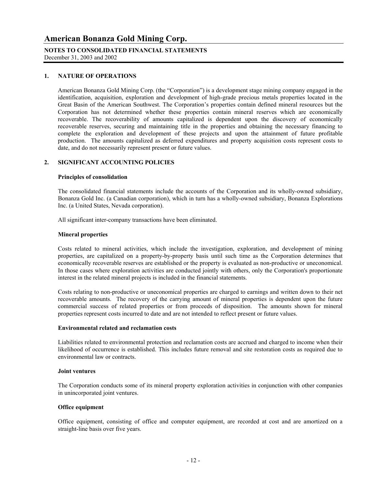## **NOTES TO CONSOLIDATED FINANCIAL STATEMENTS**

December 31, 2003 and 2002

#### **1. NATURE OF OPERATIONS**

American Bonanza Gold Mining Corp. (the "Corporation") is a development stage mining company engaged in the identification, acquisition, exploration and development of high-grade precious metals properties located in the Great Basin of the American Southwest. The Corporation's properties contain defined mineral resources but the Corporation has not determined whether these properties contain mineral reserves which are economically recoverable. The recoverability of amounts capitalized is dependent upon the discovery of economically recoverable reserves, securing and maintaining title in the properties and obtaining the necessary financing to complete the exploration and development of these projects and upon the attainment of future profitable production. The amounts capitalized as deferred expenditures and property acquisition costs represent costs to date, and do not necessarily represent present or future values.

#### **2. SIGNIFICANT ACCOUNTING POLICIES**

#### **Principles of consolidation**

 The consolidated financial statements include the accounts of the Corporation and its wholly-owned subsidiary, Bonanza Gold Inc. (a Canadian corporation), which in turn has a wholly-owned subsidiary, Bonanza Explorations Inc. (a United States, Nevada corporation).

All significant inter-company transactions have been eliminated.

#### **Mineral properties**

 Costs related to mineral activities, which include the investigation, exploration, and development of mining properties, are capitalized on a property-by-property basis until such time as the Corporation determines that economically recoverable reserves are established or the property is evaluated as non-productive or uneconomical. In those cases where exploration activities are conducted jointly with others, only the Corporation's proportionate interest in the related mineral projects is included in the financial statements.

 Costs relating to non-productive or uneconomical properties are charged to earnings and written down to their net recoverable amounts. The recovery of the carrying amount of mineral properties is dependent upon the future commercial success of related properties or from proceeds of disposition. The amounts shown for mineral properties represent costs incurred to date and are not intended to reflect present or future values.

#### **Environmental related and reclamation costs**

 Liabilities related to environmental protection and reclamation costs are accrued and charged to income when their likelihood of occurrence is established. This includes future removal and site restoration costs as required due to environmental law or contracts.

#### **Joint ventures**

The Corporation conducts some of its mineral property exploration activities in conjunction with other companies in unincorporated joint ventures.

#### **Office equipment**

 Office equipment, consisting of office and computer equipment, are recorded at cost and are amortized on a straight-line basis over five years.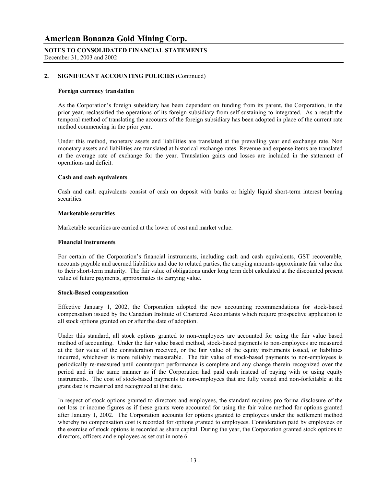#### **NOTES TO CONSOLIDATED FINANCIAL STATEMENTS** December 31, 2003 and 2002

#### **2. SIGNIFICANT ACCOUNTING POLICIES** (Continued)

#### **Foreign currency translation**

 As the Corporation's foreign subsidiary has been dependent on funding from its parent, the Corporation, in the prior year, reclassified the operations of its foreign subsidiary from self-sustaining to integrated. As a result the temporal method of translating the accounts of the foreign subsidiary has been adopted in place of the current rate method commencing in the prior year.

 Under this method, monetary assets and liabilities are translated at the prevailing year end exchange rate. Non monetary assets and liabilities are translated at historical exchange rates. Revenue and expense items are translated at the average rate of exchange for the year. Translation gains and losses are included in the statement of operations and deficit.

#### **Cash and cash equivalents**

 Cash and cash equivalents consist of cash on deposit with banks or highly liquid short-term interest bearing securities.

#### **Marketable securities**

Marketable securities are carried at the lower of cost and market value.

#### **Financial instruments**

For certain of the Corporation's financial instruments, including cash and cash equivalents, GST recoverable, accounts payable and accrued liabilities and due to related parties, the carrying amounts approximate fair value due to their short-term maturity. The fair value of obligations under long term debt calculated at the discounted present value of future payments, approximates its carrying value.

#### **Stock-Based compensation**

 Effective January 1, 2002, the Corporation adopted the new accounting recommendations for stock-based compensation issued by the Canadian Institute of Chartered Accountants which require prospective application to all stock options granted on or after the date of adoption.

 Under this standard, all stock options granted to non-employees are accounted for using the fair value based method of accounting. Under the fair value based method, stock-based payments to non-employees are measured at the fair value of the consideration received, or the fair value of the equity instruments issued, or liabilities incurred, whichever is more reliably measurable. The fair value of stock-based payments to non-employees is periodically re-measured until counterpart performance is complete and any change therein recognized over the period and in the same manner as if the Corporation had paid cash instead of paying with or using equity instruments. The cost of stock-based payments to non-employees that are fully vested and non-forfeitable at the grant date is measured and recognized at that date.

 In respect of stock options granted to directors and employees, the standard requires pro forma disclosure of the net loss or income figures as if these grants were accounted for using the fair value method for options granted after January 1, 2002. The Corporation accounts for options granted to employees under the settlement method whereby no compensation cost is recorded for options granted to employees. Consideration paid by employees on the exercise of stock options is recorded as share capital. During the year, the Corporation granted stock options to directors, officers and employees as set out in note 6.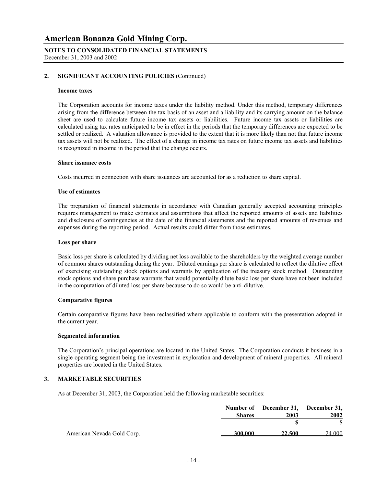#### **NOTES TO CONSOLIDATED FINANCIAL STATEMENTS** December 31, 2003 and 2002

#### **2. SIGNIFICANT ACCOUNTING POLICIES** (Continued)

#### **Income taxes**

The Corporation accounts for income taxes under the liability method. Under this method, temporary differences arising from the difference between the tax basis of an asset and a liability and its carrying amount on the balance sheet are used to calculate future income tax assets or liabilities. Future income tax assets or liabilities are calculated using tax rates anticipated to be in effect in the periods that the temporary differences are expected to be settled or realized. A valuation allowance is provided to the extent that it is more likely than not that future income tax assets will not be realized. The effect of a change in income tax rates on future income tax assets and liabilities is recognized in income in the period that the change occurs.

#### **Share issuance costs**

Costs incurred in connection with share issuances are accounted for as a reduction to share capital.

#### **Use of estimates**

The preparation of financial statements in accordance with Canadian generally accepted accounting principles requires management to make estimates and assumptions that affect the reported amounts of assets and liabilities and disclosure of contingencies at the date of the financial statements and the reported amounts of revenues and expenses during the reporting period. Actual results could differ from those estimates.

#### **Loss per share**

 Basic loss per share is calculated by dividing net loss available to the shareholders by the weighted average number of common shares outstanding during the year. Diluted earnings per share is calculated to reflect the dilutive effect of exercising outstanding stock options and warrants by application of the treasury stock method. Outstanding stock options and share purchase warrants that would potentially dilute basic loss per share have not been included in the computation of diluted loss per share because to do so would be anti-dilutive.

#### **Comparative figures**

 Certain comparative figures have been reclassified where applicable to conform with the presentation adopted in the current year.

#### **Segmented information**

 The Corporation's principal operations are located in the United States. The Corporation conducts it business in a single operating segment being the investment in exploration and development of mineral properties. All mineral properties are located in the United States.

#### **3. MARKETABLE SECURITIES**

As at December 31, 2003, the Corporation held the following marketable securities:

|                            |               | Number of December 31, December 31, |        |
|----------------------------|---------------|-------------------------------------|--------|
|                            | <b>Shares</b> | 2003                                | 2002   |
|                            |               |                                     |        |
| American Nevada Gold Corp. | 300.000       | 22,500                              | 24,000 |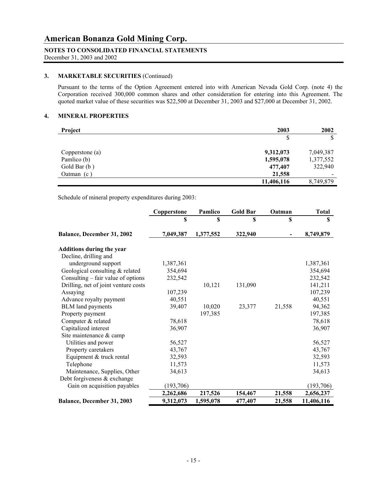#### **NOTES TO CONSOLIDATED FINANCIAL STATEMENTS**

December 31, 2003 and 2002

#### **3. MARKETABLE SECURITIES** (Continued)

Pursuant to the terms of the Option Agreement entered into with American Nevada Gold Corp. (note 4) the Corporation received 300,000 common shares and other consideration for entering into this Agreement. The quoted market value of these securities was \$22,500 at December 31, 2003 and \$27,000 at December 31, 2002.

#### **4. MINERAL PROPERTIES**

| <b>Project</b>  | 2003       | 2002                     |
|-----------------|------------|--------------------------|
|                 | S          | Φ                        |
| Copperstone (a) | 9,312,073  | 7,049,387                |
| Pamlico (b)     | 1,595,078  | 1,377,552                |
| Gold Bar (b)    | 477,407    | 322,940                  |
| Oatman $(c)$    | 21,558     | $\overline{\phantom{a}}$ |
|                 | 11,406,116 | 8,749,879                |

Schedule of mineral property expenditures during 2003:

|                                      | Copperstone | Pamlico   | <b>Gold Bar</b> | Oatman | <b>Total</b> |
|--------------------------------------|-------------|-----------|-----------------|--------|--------------|
|                                      | \$          | \$        | \$              | \$     | \$           |
| Balance, December 31, 2002           | 7,049,387   | 1,377,552 | 322,940         |        | 8,749,879    |
| <b>Additions during the year</b>     |             |           |                 |        |              |
| Decline, drilling and                |             |           |                 |        |              |
| underground support                  | 1,387,361   |           |                 |        | 1,387,361    |
| Geological consulting & related      | 354,694     |           |                 |        | 354,694      |
| Consulting – fair value of options   | 232,542     |           |                 |        | 232,542      |
| Drilling, net of joint venture costs |             | 10,121    | 131,090         |        | 141,211      |
| Assaying                             | 107,239     |           |                 |        | 107,239      |
| Advance royalty payment              | 40,551      |           |                 |        | 40,551       |
| <b>BLM</b> land payments             | 39,407      | 10,020    | 23,377          | 21,558 | 94,362       |
| Property payment                     |             | 197,385   |                 |        | 197,385      |
| Computer & related                   | 78,618      |           |                 |        | 78,618       |
| Capitalized interest                 | 36,907      |           |                 |        | 36,907       |
| Site maintenance & camp              |             |           |                 |        |              |
| Utilities and power                  | 56,527      |           |                 |        | 56,527       |
| Property caretakers                  | 43,767      |           |                 |        | 43,767       |
| Equipment & truck rental             | 32,593      |           |                 |        | 32,593       |
| Telephone                            | 11,573      |           |                 |        | 11,573       |
| Maintenance, Supplies, Other         | 34,613      |           |                 |        | 34,613       |
| Debt for giveness $&$ exchange       |             |           |                 |        |              |
| Gain on acquisition payables         | (193, 706)  |           |                 |        | (193,706)    |
|                                      | 2,262,686   | 217,526   | 154,467         | 21,558 | 2,656,237    |
| Balance, December 31, 2003           | 9,312,073   | 1,595,078 | 477,407         | 21,558 | 11,406,116   |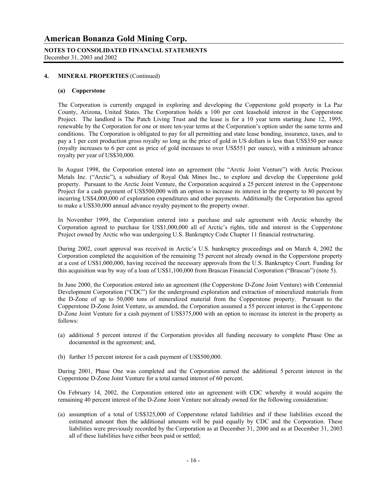#### **NOTES TO CONSOLIDATED FINANCIAL STATEMENTS** December 31, 2003 and 2002

#### **4. MINERAL PROPERTIES** (Continued)

#### **(a) Copperstone**

The Corporation is currently engaged in exploring and developing the Copperstone gold property in La Paz County, Arizona, United States. The Corporation holds a 100 per cent leasehold interest in the Copperstone Project. The landlord is The Patch Living Trust and the lease is for a 10 year term starting June 12, 1995, renewable by the Corporation for one or more ten-year terms at the Corporation's option under the same terms and conditions. The Corporation is obligated to pay for all permitting and state lease bonding, insurance, taxes, and to pay a 1 per cent production gross royalty so long as the price of gold in US dollars is less than US\$350 per ounce (royalty increases to 6 per cent as price of gold increases to over US\$551 per ounce), with a minimum advance royalty per year of US\$30,000.

In August 1998, the Corporation entered into an agreement (the "Arctic Joint Venture") with Arctic Precious Metals Inc. ("Arctic"), a subsidiary of Royal Oak Mines Inc., to explore and develop the Copperstone gold property. Pursuant to the Arctic Joint Venture, the Corporation acquired a 25 percent interest in the Copperstone Project for a cash payment of US\$500,000 with an option to increase its interest in the property to 80 percent by incurring US\$4,000,000 of exploration expenditures and other payments. Additionally the Corporation has agreed to make a US\$30,000 annual advance royalty payment to the property owner.

 In November 1999, the Corporation entered into a purchase and sale agreement with Arctic whereby the Corporation agreed to purchase for US\$1,000,000 all of Arctic's rights, title and interest in the Copperstone Project owned by Arctic who was undergoing U.S. Bankruptcy Code Chapter 11 financial restructuring.

 During 2002, court approval was received in Arctic's U.S. bankruptcy proceedings and on March 4, 2002 the Corporation completed the acquisition of the remaining 75 percent not already owned in the Copperstone property at a cost of US\$1,000,000, having received the necessary approvals from the U.S. Bankruptcy Court. Funding for this acquisition was by way of a loan of US\$1,100,000 from Brascan Financial Corporation ("Brascan") (note 5).

 In June 2000, the Corporation entered into an agreement (the Copperstone D-Zone Joint Venture) with Centennial Development Corporation ("CDC") for the underground exploration and extraction of mineralized materials from the D-Zone of up to 50,000 tons of mineralized material from the Copperstone property. Pursuant to the Copperstone D-Zone Joint Venture, as amended, the Corporation assumed a 55 percent interest in the Copperstone D-Zone Joint Venture for a cash payment of US\$375,000 with an option to increase its interest in the property as follows:

- (a) additional 5 percent interest if the Corporation provides all funding necessary to complete Phase One as documented in the agreement; and,
- (b) further 15 percent interest for a cash payment of US\$500,000.

 During 2001, Phase One was completed and the Corporation earned the additional 5 percent interest in the Copperstone D-Zone Joint Venture for a total earned interest of 60 percent.

 On February 14, 2002, the Corporation entered into an agreement with CDC whereby it would acquire the remaining 40 percent interest of the D-Zone Joint Venture not already owned for the following consideration:

(a) assumption of a total of US\$325,000 of Copperstone related liabilities and if these liabilities exceed the estimated amount then the additional amounts will be paid equally by CDC and the Corporation. These liabilities were previously recorded by the Corporation as at December 31, 2000 and as at December 31, 2003 all of these liabilities have either been paid or settled;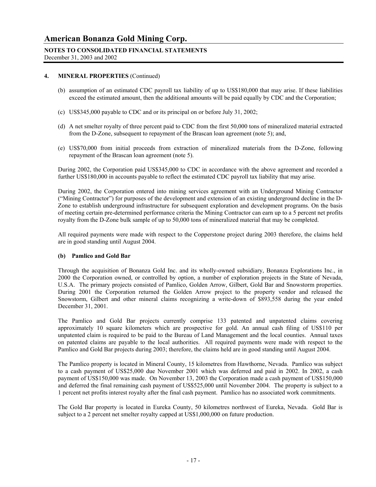#### **NOTES TO CONSOLIDATED FINANCIAL STATEMENTS**

December 31, 2003 and 2002

#### **4. MINERAL PROPERTIES** (Continued)

- (b) assumption of an estimated CDC payroll tax liability of up to US\$180,000 that may arise. If these liabilities exceed the estimated amount, then the additional amounts will be paid equally by CDC and the Corporation;
- (c) US\$345,000 payable to CDC and or its principal on or before July 31, 2002;
- (d) A net smelter royalty of three percent paid to CDC from the first 50,000 tons of mineralized material extracted from the D-Zone, subsequent to repayment of the Brascan loan agreement (note 5); and,
- (e) US\$70,000 from initial proceeds from extraction of mineralized materials from the D-Zone, following repayment of the Brascan loan agreement (note 5).

During 2002, the Corporation paid US\$345,000 to CDC in accordance with the above agreement and recorded a further US\$180,000 in accounts payable to reflect the estimated CDC payroll tax liability that may arise.

 During 2002, the Corporation entered into mining services agreement with an Underground Mining Contractor ("Mining Contractor") for purposes of the development and extension of an existing underground decline in the D-Zone to establish underground infrastructure for subsequent exploration and development programs. On the basis of meeting certain pre-determined performance criteria the Mining Contractor can earn up to a 5 percent net profits royalty from the D-Zone bulk sample of up to 50,000 tons of mineralized material that may be completed.

All required payments were made with respect to the Copperstone project during 2003 therefore, the claims held are in good standing until August 2004.

#### **(b) Pamlico and Gold Bar**

 Through the acquisition of Bonanza Gold Inc. and its wholly-owned subsidiary, Bonanza Explorations Inc., in 2000 the Corporation owned, or controlled by option, a number of exploration projects in the State of Nevada, U.S.A. The primary projects consisted of Pamlico, Golden Arrow, Gilbert, Gold Bar and Snowstorm properties. During 2001 the Corporation returned the Golden Arrow project to the property vendor and released the Snowstorm, Gilbert and other mineral claims recognizing a write-down of \$893,558 during the year ended December 31, 2001.

 The Pamlico and Gold Bar projects currently comprise 133 patented and unpatented claims covering approximately 10 square kilometers which are prospective for gold. An annual cash filing of US\$110 per unpatented claim is required to be paid to the Bureau of Land Management and the local counties. Annual taxes on patented claims are payable to the local authorities. All required payments were made with respect to the Pamlico and Gold Bar projects during 2003; therefore, the claims held are in good standing until August 2004.

 The Pamlico property is located in Mineral County, 15 kilometres from Hawthorne, Nevada. Pamlico was subject to a cash payment of US\$25,000 due November 2001 which was deferred and paid in 2002. In 2002, a cash payment of US\$150,000 was made. On November 13, 2003 the Corporation made a cash payment of US\$150,000 and deferred the final remaining cash payment of US\$525,000 until November 2004. The property is subject to a 1 percent net profits interest royalty after the final cash payment. Pamlico has no associated work commitments.

 The Gold Bar property is located in Eureka County, 50 kilometres northwest of Eureka, Nevada. Gold Bar is subject to a 2 percent net smelter royalty capped at US\$1,000,000 on future production.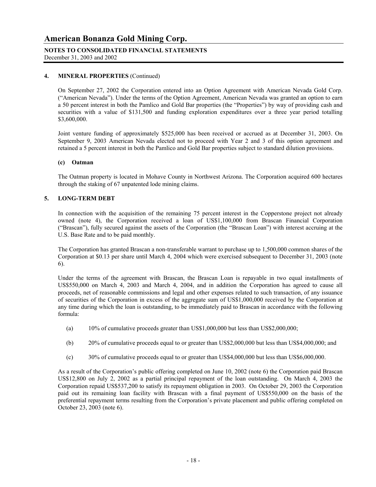## **NOTES TO CONSOLIDATED FINANCIAL STATEMENTS**

December 31, 2003 and 2002

#### **4. MINERAL PROPERTIES** (Continued)

On September 27, 2002 the Corporation entered into an Option Agreement with American Nevada Gold Corp. ("American Nevada"). Under the terms of the Option Agreement, American Nevada was granted an option to earn a 50 percent interest in both the Pamlico and Gold Bar properties (the "Properties") by way of providing cash and securities with a value of \$131,500 and funding exploration expenditures over a three year period totalling \$3,600,000.

Joint venture funding of approximately \$525,000 has been received or accrued as at December 31, 2003. On September 9, 2003 American Nevada elected not to proceed with Year 2 and 3 of this option agreement and retained a 5 percent interest in both the Pamlico and Gold Bar properties subject to standard dilution provisions.

#### **(c) Oatman**

The Oatman property is located in Mohave County in Northwest Arizona. The Corporation acquired 600 hectares through the staking of 67 unpatented lode mining claims.

#### **5. LONG-TERM DEBT**

In connection with the acquisition of the remaining 75 percent interest in the Copperstone project not already owned (note 4), the Corporation received a loan of US\$1,100,000 from Brascan Financial Corporation ("Brascan"), fully secured against the assets of the Corporation (the "Brascan Loan") with interest accruing at the U.S. Base Rate and to be paid monthly.

 The Corporation has granted Brascan a non-transferable warrant to purchase up to 1,500,000 common shares of the Corporation at \$0.13 per share until March 4, 2004 which were exercised subsequent to December 31, 2003 (note 6).

Under the terms of the agreement with Brascan, the Brascan Loan is repayable in two equal installments of US\$550,000 on March 4, 2003 and March 4, 2004, and in addition the Corporation has agreed to cause all proceeds, net of reasonable commissions and legal and other expenses related to such transaction, of any issuance of securities of the Corporation in excess of the aggregate sum of US\$1,000,000 received by the Corporation at any time during which the loan is outstanding, to be immediately paid to Brascan in accordance with the following formula:

- (a) 10% of cumulative proceeds greater than US\$1,000,000 but less than US\$2,000,000;
- (b) 20% of cumulative proceeds equal to or greater than US\$2,000,000 but less than US\$4,000,000; and
- (c) 30% of cumulative proceeds equal to or greater than US\$4,000,000 but less than US\$6,000,000.

As a result of the Corporation's public offering completed on June 10, 2002 (note 6) the Corporation paid Brascan US\$12,800 on July 2, 2002 as a partial principal repayment of the loan outstanding. On March 4, 2003 the Corporation repaid US\$537,200 to satisfy its repayment obligation in 2003. On October 29, 2003 the Corporation paid out its remaining loan facility with Brascan with a final payment of US\$550,000 on the basis of the preferential repayment terms resulting from the Corporation's private placement and public offering completed on October 23, 2003 (note 6).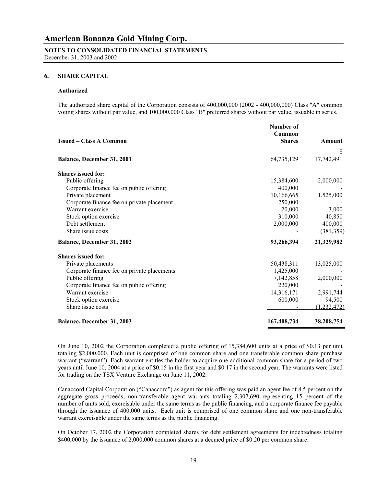# **NOTES TO CONSOLIDATED FINANCIAL STATEMENTS**

December 31, 2003 and 2002

#### **6. SHARE CAPITAL**

#### **Authorized**

The authorized share capital of the Corporation consists of 400,000,000 (2002 - 400,000,000) Class "A" common voting shares without par value, and 100,000,000 Class "B" preferred shares without par value, issuable in series.

|                                             | Number of<br>Common |             |
|---------------------------------------------|---------------------|-------------|
| <b>Issued – Class A Common</b>              | <b>Shares</b>       | Amount      |
|                                             |                     | S           |
| Balance, December 31, 2001                  | 64,735,129          | 17,742,491  |
| <b>Shares issued for:</b>                   |                     |             |
| Public offering                             | 15,384,600          | 2,000,000   |
| Corporate finance fee on public offering    | 400,000             |             |
| Private placement                           | 10,166,665          | 1,525,000   |
| Corporate finance fee on private placement  | 250,000             |             |
| Warrant exercise                            | 20,000              | 3,000       |
| Stock option exercise                       | 310,000             | 40,850      |
| Debt settlement                             | 2,000,000           | 400,000     |
| Share issue costs                           |                     | (381, 359)  |
| Balance, December 31, 2002                  | 93,266,394          | 21,329,982  |
| <b>Shares issued for:</b>                   |                     |             |
| Private placements                          | 50,438,311          | 13,025,000  |
| Corporate finance fee on private placements | 1,425,000           |             |
| Public offering                             | 7,142,858           | 2,000,000   |
| Corporate finance fee on public offering    | 220,000             |             |
| Warrant exercise                            | 14,316,171          | 2,991,744   |
| Stock option exercise                       | 600,000             | 94,500      |
| Share issue costs                           |                     | (1,232,472) |
| Balance, December 31, 2003                  | 167,408,734         | 38,208,754  |

 On June 10, 2002 the Corporation completed a public offering of 15,384,600 units at a price of \$0.13 per unit totaling \$2,000,000. Each unit is comprised of one common share and one transferable common share purchase warrant ("warrant"). Each warrant entitles the holder to acquire one additional common share for a period of two years until June 10, 2004 at a price of \$0.15 in the first year and \$0.17 in the second year. The warrants were listed for trading on the TSX Venture Exchange on June 11, 2002.

Canaccord Capital Corporation ("Canaccord") as agent for this offering was paid an agent fee of 8.5 percent on the aggregate gross proceeds, non-transferable agent warrants totaling 2,307,690 representing 15 percent of the number of units sold, exercisable under the same terms as the public financing, and a corporate finance fee payable through the issuance of 400,000 units. Each unit is comprised of one common share and one non-transferable warrant exercisable under the same terms as the public financing.

On October 17, 2002 the Corporation completed shares for debt settlement agreements for indebtedness totaling \$400,000 by the issuance of 2,000,000 common shares at a deemed price of \$0.20 per common share.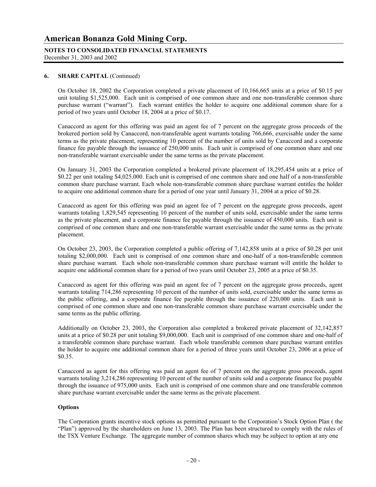# **NOTES TO CONSOLIDATED FINANCIAL STATEMENTS**

December 31, 2003 and 2002

#### **6. SHARE CAPITAL** (Continued)

On October 18, 2002 the Corporation completed a private placement of 10,166,665 units at a price of \$0.15 per unit totaling \$1,525,000. Each unit is comprised of one common share and one non-transferable common share purchase warrant ("warrant"). Each warrant entitles the holder to acquire one additional common share for a period of two years until October 18, 2004 at a price of \$0.17.

Canaccord as agent for this offering was paid an agent fee of 7 percent on the aggregate gross proceeds of the brokered portion sold by Canaccord, non-transferable agent warrants totaling 766,666, exercisable under the same terms as the private placement, representing 10 percent of the number of units sold by Canaccord and a corporate finance fee payable through the issuance of 250,000 units. Each unit is comprised of one common share and one non-transferable warrant exercisable under the same terms as the private placement.

On January 31, 2003 the Corporation completed a brokered private placement of 18,295,454 units at a price of \$0.22 per unit totaling \$4,025,000. Each unit is comprised of one common share and one half of a non-transferable common share purchase warrant. Each whole non-transferable common share purchase warrant entitles the holder to acquire one additional common share for a period of one year until January 31, 2004 at a price of \$0.28.

Canaccord as agent for this offering was paid an agent fee of 7 percent on the aggregate gross proceeds, agent warrants totaling 1,829,545 representing 10 percent of the number of units sold, exercisable under the same terms as the private placement, and a corporate finance fee payable through the issuance of 450,000 units. Each unit is comprised of one common share and one non-transferable warrant exercisable under the same terms as the private placement.

On October 23, 2003, the Corporation completed a public offering of 7,142,858 units at a price of \$0.28 per unit totaling \$2,000,000. Each unit is comprised of one common share and one-half of a non-transferable common share purchase warrant. Each whole non-transferable common share purchase warrant will entitle the holder to acquire one additional common share for a period of two years until October 23, 2005 at a price of \$0.35.

Canaccord as agent for this offering was paid an agent fee of 7 percent on the aggregate gross proceeds, agent warrants totaling 714,286 representing 10 percent of the number of units sold, exercisable under the same terms as the public offering, and a corporate finance fee payable through the issuance of 220,000 units. Each unit is comprised of one common share and one non-transferable common share purchase warrant exercisable under the same terms as the public offering.

Additionally on October 23, 2003, the Corporation also completed a brokered private placement of 32,142,857 units at a price of \$0.28 per unit totaling \$9,000,000. Each unit is comprised of one common share and one-half of a transferable common share purchase warrant. Each whole transferable common share purchase warrant entitles the holder to acquire one additional common share for a period of three years until October 23, 2006 at a price of \$0.35.

Canaccord as agent for this offering was paid an agent fee of 7 percent on the aggregate gross proceeds, agent warrants totaling 3,214,286 representing 10 percent of the number of units sold and a corporate finance fee payable through the issuance of 975,000 units. Each unit is comprised of one common share and one transferable common share purchase warrant exercisable under the same terms as the private placement.

#### **Options**

The Corporation grants incentive stock options as permitted pursuant to the Corporation's Stock Option Plan ( the "Plan") approved by the shareholders on June 13, 2003. The Plan has been structured to comply with the rules of the TSX Venture Exchange. The aggregate number of common shares which may be subject to option at any one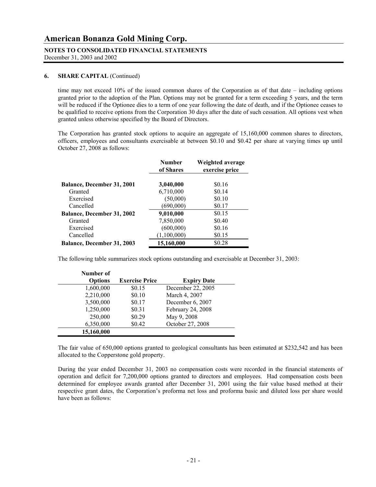## **NOTES TO CONSOLIDATED FINANCIAL STATEMENTS**

December 31, 2003 and 2002

#### **6. SHARE CAPITAL** (Continued)

time may not exceed 10% of the issued common shares of the Corporation as of that date – including options granted prior to the adoption of the Plan. Options may not be granted for a term exceeding 5 years, and the term will be reduced if the Optionee dies to a term of one year following the date of death, and if the Optionee ceases to be qualified to receive options from the Corporation 30 days after the date of such cessation. All options vest when granted unless otherwise specified by the Board of Directors.

 The Corporation has granted stock options to acquire an aggregate of 15,160,000 common shares to directors, officers, employees and consultants exercisable at between \$0.10 and \$0.42 per share at varying times up until October 27, 2008 as follows:

|                                   | <b>Number</b><br>of Shares | Weighted average<br>exercise price |
|-----------------------------------|----------------------------|------------------------------------|
| Balance, December 31, 2001        | 3,040,000                  | \$0.16                             |
| Granted                           | 6,710,000                  | \$0.14                             |
| Exercised                         | (50,000)                   | \$0.10                             |
| Cancelled                         | (690,000)                  | \$0.17                             |
| Balance, December 31, 2002        | 9,010,000                  | \$0.15                             |
| Granted                           | 7,850,000                  | \$0.40                             |
| Exercised                         | (600,000)                  | \$0.16                             |
| Cancelled                         | (1,100,000)                | \$0.15                             |
| <b>Balance, December 31, 2003</b> | 15,160,000                 | \$0.28                             |

The following table summarizes stock options outstanding and exercisable at December 31, 2003:

| Number of      |                       |                    |
|----------------|-----------------------|--------------------|
| <b>Options</b> | <b>Exercise Price</b> | <b>Expiry Date</b> |
| 1,600,000      | \$0.15                | December 22, 2005  |
| 2,210,000      | \$0.10                | March 4, 2007      |
| 3,500,000      | \$0.17                | December 6, 2007   |
| 1,250,000      | \$0.31                | February 24, 2008  |
| 250,000        | \$0.29                | May 9, 2008        |
| 6,350,000      | \$0.42                | October 27, 2008   |
| 15,160,000     |                       |                    |

 The fair value of 650,000 options granted to geological consultants has been estimated at \$232,542 and has been allocated to the Copperstone gold property.

During the year ended December 31, 2003 no compensation costs were recorded in the financial statements of operation and deficit for 7,200,000 options granted to directors and employees. Had compensation costs been determined for employee awards granted after December 31, 2001 using the fair value based method at their respective grant dates, the Corporation's proforma net loss and proforma basic and diluted loss per share would have been as follows: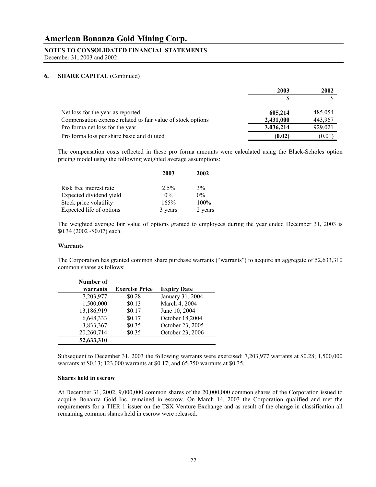#### **NOTES TO CONSOLIDATED FINANCIAL STATEMENTS**

December 31, 2003 and 2002

#### **6. SHARE CAPITAL** (Continued)

|                                                             | 2003      | 2002    |
|-------------------------------------------------------------|-----------|---------|
|                                                             |           |         |
| Net loss for the year as reported                           | 605,214   | 485,054 |
| Compensation expense related to fair value of stock options | 2,431,000 | 443,967 |
| Pro forma net loss for the year                             | 3,036,214 | 929,021 |
| Pro forma loss per share basic and diluted                  | (0.02)    | (0.01)  |

The compensation costs reflected in these pro forma amounts were calculated using the Black-Scholes option pricing model using the following weighted average assumptions:

|                          | 2003    | 2002    |  |
|--------------------------|---------|---------|--|
|                          |         |         |  |
| Risk free interest rate  | $2.5\%$ | $3\%$   |  |
| Expected dividend yield  | $0\%$   | $0\%$   |  |
| Stock price volatility   | 165%    | $100\%$ |  |
| Expected life of options | 3 years | 2 years |  |

 The weighted average fair value of options granted to employees during the year ended December 31, 2003 is \$0.34 (2002 -\$0.07) each.

#### **Warrants**

 The Corporation has granted common share purchase warrants ("warrants") to acquire an aggregate of 52,633,310 common shares as follows:

| Number of  |                       |                    |
|------------|-----------------------|--------------------|
| warrants   | <b>Exercise Price</b> | <b>Expiry Date</b> |
| 7,203,977  | \$0.28                | January 31, 2004   |
| 1,500,000  | \$0.13                | March 4, 2004      |
| 13,186,919 | \$0.17                | June 10, 2004      |
| 6,648,333  | \$0.17                | October 18,2004    |
| 3,833,367  | \$0.35                | October 23, 2005   |
| 20,260,714 | \$0.35                | October 23, 2006   |
| 52,633,310 |                       |                    |

Subsequent to December 31, 2003 the following warrants were exercised: 7,203,977 warrants at \$0.28; 1,500,000 warrants at \$0.13; 123,000 warrants at \$0.17; and 65,750 warrants at \$0.35.

#### **Shares held in escrow**

 At December 31, 2002, 9,000,000 common shares of the 20,000,000 common shares of the Corporation issued to acquire Bonanza Gold Inc. remained in escrow. On March 14, 2003 the Corporation qualified and met the requirements for a TIER 1 issuer on the TSX Venture Exchange and as result of the change in classification all remaining common shares held in escrow were released.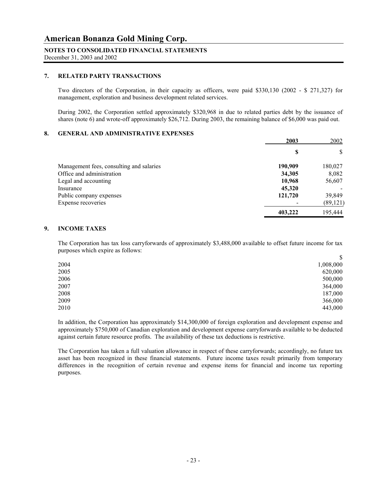#### **NOTES TO CONSOLIDATED FINANCIAL STATEMENTS**

December 31, 2003 and 2002

#### **7. RELATED PARTY TRANSACTIONS**

Two directors of the Corporation, in their capacity as officers, were paid \$330,130 (2002 - \$ 271,327) for management, exploration and business development related services.

During 2002, the Corporation settled approximately \$320,968 in due to related parties debt by the issuance of shares (note 6) and wrote-off approximately \$26,712. During 2003, the remaining balance of \$6,000 was paid out.

#### **8. GENERAL AND ADMINISTRATIVE EXPENSES**

|                                          | 2003    | 2002      |
|------------------------------------------|---------|-----------|
|                                          | \$      | D         |
| Management fees, consulting and salaries | 190,909 | 180,027   |
| Office and administration                | 34,305  | 8,082     |
| Legal and accounting                     | 10,968  | 56,607    |
| Insurance                                | 45,320  |           |
| Public company expenses                  | 121,720 | 39,849    |
| Expense recoveries                       |         | (89, 121) |
|                                          | 403,222 | 195,444   |

#### **9. INCOME TAXES**

The Corporation has tax loss carryforwards of approximately \$3,488,000 available to offset future income for tax purposes which expire as follows:

|      | \$        |
|------|-----------|
| 2004 | 1,008,000 |
| 2005 | 620,000   |
| 2006 | 500,000   |
| 2007 | 364,000   |
| 2008 | 187,000   |
| 2009 | 366,000   |
| 2010 | 443,000   |

In addition, the Corporation has approximately \$14,300,000 of foreign exploration and development expense and approximately \$750,000 of Canadian exploration and development expense carryforwards available to be deducted against certain future resource profits. The availability of these tax deductions is restrictive.

The Corporation has taken a full valuation allowance in respect of these carryforwards; accordingly, no future tax asset has been recognized in these financial statements. Future income taxes result primarily from temporary differences in the recognition of certain revenue and expense items for financial and income tax reporting purposes.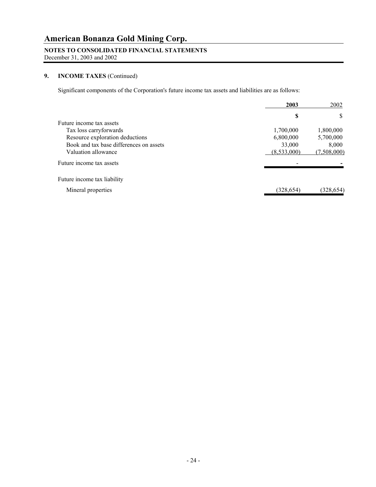## **NOTES TO CONSOLIDATED FINANCIAL STATEMENTS**

December 31, 2003 and 2002

### **9. INCOME TAXES** (Continued)

Significant components of the Corporation's future income tax assets and liabilities are as follows:

|                                         | 2003        | 2002        |
|-----------------------------------------|-------------|-------------|
|                                         | \$          | D           |
| Future income tax assets                |             |             |
| Tax loss carryforwards                  | 1,700,000   | 1,800,000   |
| Resource exploration deductions         | 6,800,000   | 5,700,000   |
| Book and tax base differences on assets | 33,000      | 8,000       |
| Valuation allowance                     | (8,533,000) | (7,508,000) |
| Future income tax assets                |             |             |
| Future income tax liability             |             |             |
| Mineral properties                      | (328,654)   | (328,654)   |